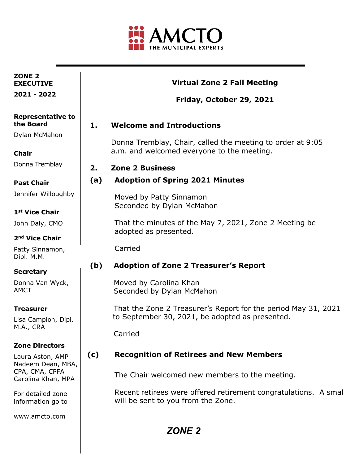

| ZONE <sub>2</sub><br><b>EXECUTIVE</b>  |     | <b>Virtual Zone 2 Fall Meeting</b>                                                                                |
|----------------------------------------|-----|-------------------------------------------------------------------------------------------------------------------|
| 2021 - 2022                            |     | Friday, October 29, 2021                                                                                          |
| <b>Representative to</b><br>the Board  | 1.  | <b>Welcome and Introductions</b>                                                                                  |
| Dylan McMahon                          |     | Donna Tremblay, Chair, called the meeting to order at 9:05                                                        |
| <b>Chair</b>                           |     | a.m. and welcomed everyone to the meeting.                                                                        |
| Donna Tremblay                         | 2.  | <b>Zone 2 Business</b>                                                                                            |
| <b>Past Chair</b>                      | (a) | <b>Adoption of Spring 2021 Minutes</b>                                                                            |
| Jennifer Willoughby                    |     | Moved by Patty Sinnamon<br>Seconded by Dylan McMahon                                                              |
| 1 <sup>st</sup> Vice Chair             |     |                                                                                                                   |
| John Daly, CMO                         |     | That the minutes of the May 7, 2021, Zone 2 Meeting be                                                            |
| 2 <sup>nd</sup> Vice Chair             |     | adopted as presented.                                                                                             |
| Patty Sinnamon,<br>Dipl. M.M.          |     | Carried                                                                                                           |
| <b>Secretary</b>                       | (b) | <b>Adoption of Zone 2 Treasurer's Report</b>                                                                      |
| Donna Van Wyck,<br><b>AMCT</b>         |     | Moved by Carolina Khan<br>Seconded by Dylan McMahon                                                               |
| <b>Treasurer</b>                       |     | That the Zone 2 Treasurer's Report for the period May 31, 2021<br>to September 30, 2021, be adopted as presented. |
| Lisa Campion, Dipl.<br>M.A., CRA       |     |                                                                                                                   |
|                                        |     | Carried                                                                                                           |
| <b>Zone Directors</b>                  |     |                                                                                                                   |
| Laura Aston, AMP<br>Nadeem Dean, MBA,  | (c) | <b>Recognition of Retirees and New Members</b>                                                                    |
| CPA, CMA, CPFA<br>Carolina Khan, MPA   |     | The Chair welcomed new members to the meeting.                                                                    |
| For detailed zone<br>information go to |     | Recent retirees were offered retirement congratulations. A smal<br>will be sent to you from the Zone.             |
| www.amcto.com                          |     |                                                                                                                   |

*ZONE 2*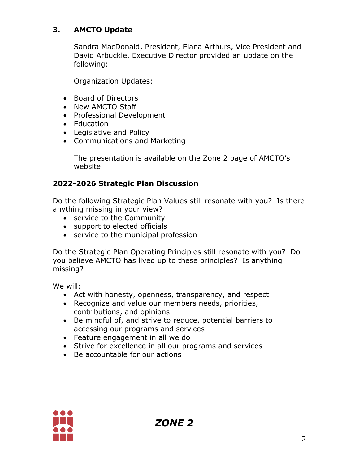# **3. AMCTO Update**

Sandra MacDonald, President, Elana Arthurs, Vice President and David Arbuckle, Executive Director provided an update on the following:

Organization Updates:

- Board of Directors
- New AMCTO Staff
- Professional Development
- Education
- Legislative and Policy
- Communications and Marketing

The presentation is available on the Zone 2 page of AMCTO's website.

## **2022-2026 Strategic Plan Discussion**

Do the following Strategic Plan Values still resonate with you? Is there anything missing in your view?

- service to the Community
- support to elected officials
- service to the municipal profession

Do the Strategic Plan Operating Principles still resonate with you? Do you believe AMCTO has lived up to these principles? Is anything missing?

We will:

- Act with honesty, openness, transparency, and respect
- Recognize and value our members needs, priorities, contributions, and opinions
- Be mindful of, and strive to reduce, potential barriers to accessing our programs and services
- Feature engagement in all we do
- Strive for excellence in all our programs and services
- Be accountable for our actions

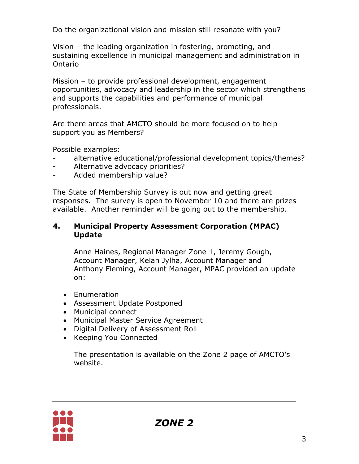Do the organizational vision and mission still resonate with you?

Vision – the leading organization in fostering, promoting, and sustaining excellence in municipal management and administration in Ontario

Mission – to provide professional development, engagement opportunities, advocacy and leadership in the sector which strengthens and supports the capabilities and performance of municipal professionals.

Are there areas that AMCTO should be more focused on to help support you as Members?

Possible examples:

- alternative educational/professional development topics/themes?
- Alternative advocacy priorities?
- Added membership value?

The State of Membership Survey is out now and getting great responses. The survey is open to November 10 and there are prizes available. Another reminder will be going out to the membership.

### **4. Municipal Property Assessment Corporation (MPAC) Update**

Anne Haines, Regional Manager Zone 1, Jeremy Gough, Account Manager, Kelan Jylha, Account Manager and Anthony Fleming, Account Manager, MPAC provided an update on:

- Enumeration
- Assessment Update Postponed
- Municipal connect
- Municipal Master Service Agreement
- Digital Delivery of Assessment Roll
- Keeping You Connected

The presentation is available on the Zone 2 page of AMCTO's website.

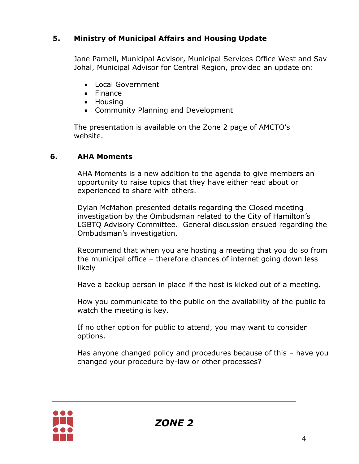# **5. Ministry of Municipal Affairs and Housing Update**

Jane Parnell, Municipal Advisor, Municipal Services Office West and Sav Johal, Municipal Advisor for Central Region, provided an update on:

- Local Government
- Finance
- Housing
- Community Planning and Development

The presentation is available on the Zone 2 page of AMCTO's website.

## **6. AHA Moments**

AHA Moments is a new addition to the agenda to give members an opportunity to raise topics that they have either read about or experienced to share with others.

Dylan McMahon presented details regarding the Closed meeting investigation by the Ombudsman related to the City of Hamilton's LGBTQ Advisory Committee. General discussion ensued regarding the Ombudsman's investigation.

Recommend that when you are hosting a meeting that you do so from the municipal office – therefore chances of internet going down less likely

Have a backup person in place if the host is kicked out of a meeting.

How you communicate to the public on the availability of the public to watch the meeting is key.

If no other option for public to attend, you may want to consider options.

Has anyone changed policy and procedures because of this – have you changed your procedure by-law or other processes?